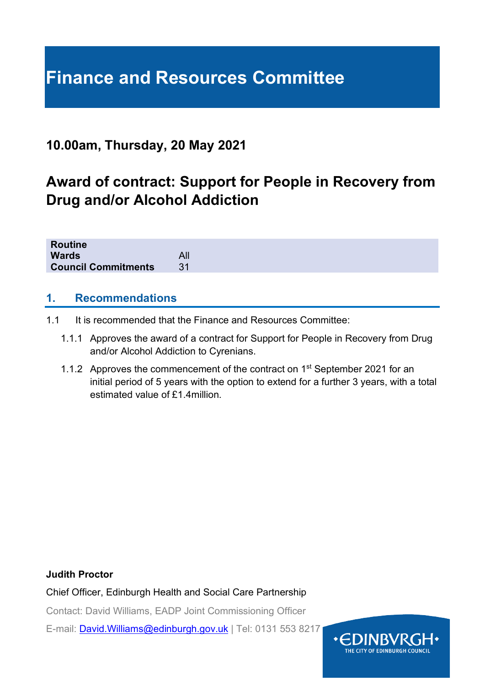# **Finance and Resources Committee**

## **10.00am, Thursday, 20 May 2021**

# **Award of contract: Support for People in Recovery from Drug and/or Alcohol Addiction**

| Routine                    |     |  |  |  |
|----------------------------|-----|--|--|--|
| <b>Wards</b>               | All |  |  |  |
| <b>Council Commitments</b> |     |  |  |  |
|                            |     |  |  |  |

#### **1. Recommendations**

- 1.1 It is recommended that the Finance and Resources Committee:
	- 1.1.1 Approves the award of a contract for Support for People in Recovery from Drug and/or Alcohol Addiction to Cyrenians.
	- 1.1.2 Approves the commencement of the contract on 1<sup>st</sup> September 2021 for an initial period of 5 years with the option to extend for a further 3 years, with a total estimated value of £1.4million.

#### **Judith Proctor**

Chief Officer, Edinburgh Health and Social Care Partnership

Contact: David Williams, EADP Joint Commissioning Officer

E-mail: [David.Williams@edinburgh.gov.uk](mailto:David.Williams@edinburgh.gov.uk) | Tel: 0131 553 8217

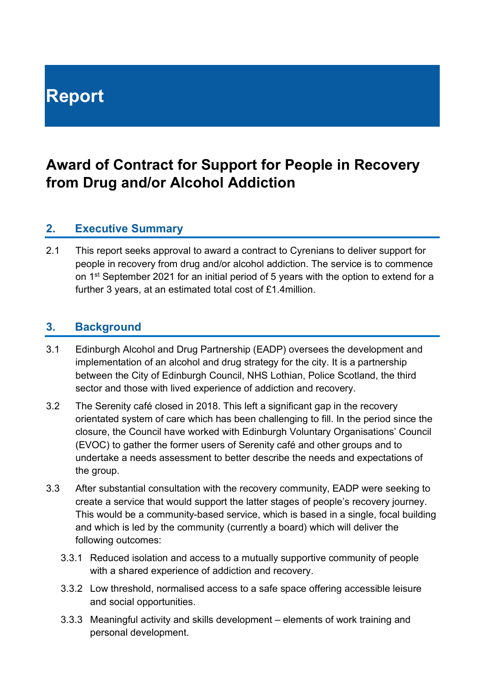# **Report**

# **Award of Contract for Support for People in Recovery from Drug and/or Alcohol Addiction**

#### **2. Executive Summary**

2.1 This report seeks approval to award a contract to Cyrenians to deliver support for people in recovery from drug and/or alcohol addiction. The service is to commence on 1<sup>st</sup> September 2021 for an initial period of 5 years with the option to extend for a further 3 years, at an estimated total cost of £1.4million.

#### **3. Background**

- 3.1 Edinburgh Alcohol and Drug Partnership (EADP) oversees the development and implementation of an alcohol and drug strategy for the city. It is a partnership between the City of Edinburgh Council, NHS Lothian, Police Scotland, the third sector and those with lived experience of addiction and recovery.
- 3.2 The Serenity café closed in 2018. This left a significant gap in the recovery orientated system of care which has been challenging to fill. In the period since the closure, the Council have worked with Edinburgh Voluntary Organisations' Council (EVOC) to gather the former users of Serenity café and other groups and to undertake a needs assessment to better describe the needs and expectations of the group.
- 3.3 After substantial consultation with the recovery community, EADP were seeking to create a service that would support the latter stages of people's recovery journey. This would be a community-based service, which is based in a single, focal building and which is led by the community (currently a board) which will deliver the following outcomes:
	- 3.3.1 Reduced isolation and access to a mutually supportive community of people with a shared experience of addiction and recovery.
	- 3.3.2 Low threshold, normalised access to a safe space offering accessible leisure and social opportunities.
	- 3.3.3 Meaningful activity and skills development elements of work training and personal development.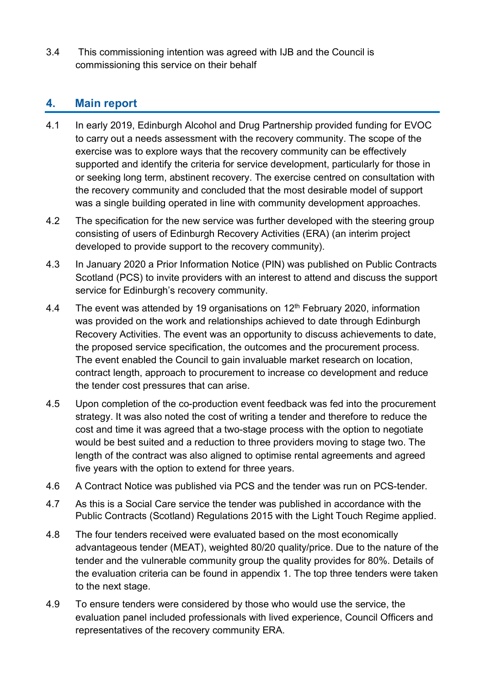3.4 This commissioning intention was agreed with IJB and the Council is commissioning this service on their behalf

#### **4. Main report**

- 4.1 In early 2019, Edinburgh Alcohol and Drug Partnership provided funding for EVOC to carry out a needs assessment with the recovery community. The scope of the exercise was to explore ways that the recovery community can be effectively supported and identify the criteria for service development, particularly for those in or seeking long term, abstinent recovery. The exercise centred on consultation with the recovery community and concluded that the most desirable model of support was a single building operated in line with community development approaches.
- 4.2 The specification for the new service was further developed with the steering group consisting of users of Edinburgh Recovery Activities (ERA) (an interim project developed to provide support to the recovery community).
- 4.3 In January 2020 a Prior Information Notice (PIN) was published on Public Contracts Scotland (PCS) to invite providers with an interest to attend and discuss the support service for Edinburgh's recovery community.
- 4.4 The event was attended by 19 organisations on  $12<sup>th</sup>$  February 2020, information was provided on the work and relationships achieved to date through Edinburgh Recovery Activities. The event was an opportunity to discuss achievements to date, the proposed service specification, the outcomes and the procurement process. The event enabled the Council to gain invaluable market research on location, contract length, approach to procurement to increase co development and reduce the tender cost pressures that can arise.
- 4.5 Upon completion of the co-production event feedback was fed into the procurement strategy. It was also noted the cost of writing a tender and therefore to reduce the cost and time it was agreed that a two-stage process with the option to negotiate would be best suited and a reduction to three providers moving to stage two. The length of the contract was also aligned to optimise rental agreements and agreed five years with the option to extend for three years.
- 4.6 A Contract Notice was published via PCS and the tender was run on PCS-tender.
- 4.7 As this is a Social Care service the tender was published in accordance with the Public Contracts (Scotland) Regulations 2015 with the Light Touch Regime applied.
- 4.8 The four tenders received were evaluated based on the most economically advantageous tender (MEAT), weighted 80/20 quality/price. Due to the nature of the tender and the vulnerable community group the quality provides for 80%. Details of the evaluation criteria can be found in appendix 1. The top three tenders were taken to the next stage.
- 4.9 To ensure tenders were considered by those who would use the service, the evaluation panel included professionals with lived experience, Council Officers and representatives of the recovery community ERA.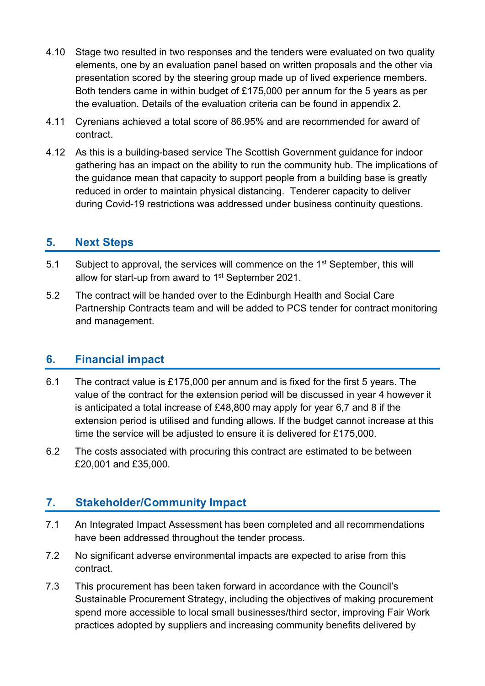- 4.10 Stage two resulted in two responses and the tenders were evaluated on two quality elements, one by an evaluation panel based on written proposals and the other via presentation scored by the steering group made up of lived experience members. Both tenders came in within budget of £175,000 per annum for the 5 years as per the evaluation. Details of the evaluation criteria can be found in appendix 2.
- 4.11 Cyrenians achieved a total score of 86.95% and are recommended for award of contract.
- 4.12 As this is a building-based service The Scottish Government guidance for indoor gathering has an impact on the ability to run the community hub. The implications of the guidance mean that capacity to support people from a building base is greatly reduced in order to maintain physical distancing. Tenderer capacity to deliver during Covid-19 restrictions was addressed under business continuity questions.

#### **5. Next Steps**

- 5.1 Subject to approval, the services will commence on the 1<sup>st</sup> September, this will allow for start-up from award to 1<sup>st</sup> September 2021.
- 5.2 The contract will be handed over to the Edinburgh Health and Social Care Partnership Contracts team and will be added to PCS tender for contract monitoring and management.

#### **6. Financial impact**

- 6.1 The contract value is £175,000 per annum and is fixed for the first 5 years. The value of the contract for the extension period will be discussed in year 4 however it is anticipated a total increase of £48,800 may apply for year 6,7 and 8 if the extension period is utilised and funding allows. If the budget cannot increase at this time the service will be adjusted to ensure it is delivered for £175,000.
- 6.2 The costs associated with procuring this contract are estimated to be between £20,001 and £35,000.

### **7. Stakeholder/Community Impact**

- 7.1 An Integrated Impact Assessment has been completed and all recommendations have been addressed throughout the tender process.
- 7.2 No significant adverse environmental impacts are expected to arise from this contract.
- 7.3 This procurement has been taken forward in accordance with the Council's Sustainable Procurement Strategy, including the objectives of making procurement spend more accessible to local small businesses/third sector, improving Fair Work practices adopted by suppliers and increasing community benefits delivered by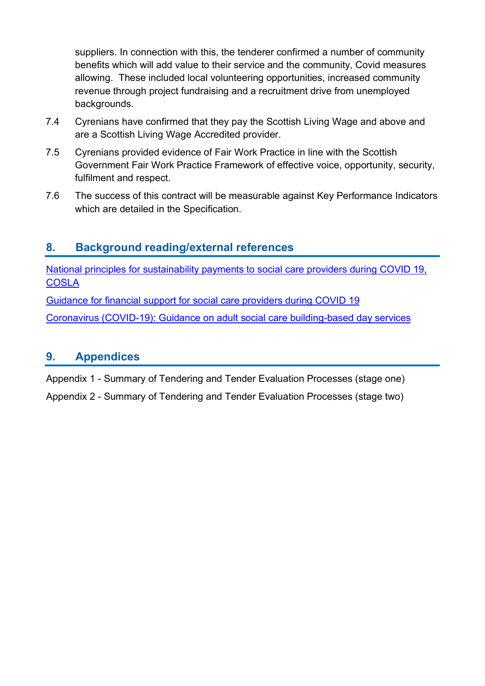suppliers. In connection with this, the tenderer confirmed a number of community benefits which will add value to their service and the community, Covid measures allowing. These included local volunteering opportunities, increased community revenue through project fundraising and a recruitment drive from unemployed backgrounds.

- 7.4 Cyrenians have confirmed that they pay the Scottish Living Wage and above and are a Scottish Living Wage Accredited provider.
- 7.5 Cyrenians provided evidence of Fair Work Practice in line with the Scottish Government Fair Work Practice Framework of effective voice, opportunity, security, fulfilment and respect.
- 7.6 The success of this contract will be measurable against Key Performance Indicators which are detailed in the Specification.

#### **8. Background reading/external references**

[National principles for sustainability payments to](https://www.cosla.gov.uk/__data/assets/pdf_file/0025/17917/31-07-20-Provider-Sustainability-Principles.pdf) social care providers during COVID 19, **[COSLA](https://www.cosla.gov.uk/__data/assets/pdf_file/0025/17917/31-07-20-Provider-Sustainability-Principles.pdf)** 

[Guidance for financial support for social care providers during COVID 19](https://www.gov.scot/publications/coronavirus-covid-19-financial-support-arrangements-for-social-care-providers/)

[Coronavirus \(COVID-19\): Guidance on adult social care building-based day services](https://www.gov.scot/publications/coronavirus-covid-19-guidance-on-adult-social-care-building-based-day-services/pages/infection-prevention-and-control/)

#### **9. Appendices**

Appendix 1 - Summary of Tendering and Tender Evaluation Processes (stage one)

Appendix 2 - Summary of Tendering and Tender Evaluation Processes (stage two)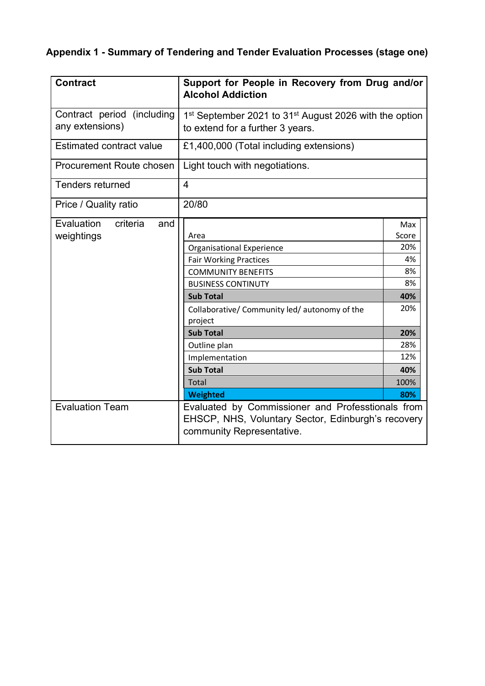## **Appendix 1 - Summary of Tendering and Tender Evaluation Processes (stage one)**

| <b>Contract</b>                 | Support for People in Recovery from Drug and/or<br><b>Alcohol Addiction</b>                                                          |       |  |  |  |
|---------------------------------|--------------------------------------------------------------------------------------------------------------------------------------|-------|--|--|--|
| Contract period (including      | 1 <sup>st</sup> September 2021 to 31 <sup>st</sup> August 2026 with the option                                                       |       |  |  |  |
| any extensions)                 | to extend for a further 3 years.                                                                                                     |       |  |  |  |
| <b>Estimated contract value</b> | £1,400,000 (Total including extensions)                                                                                              |       |  |  |  |
| <b>Procurement Route chosen</b> | Light touch with negotiations.                                                                                                       |       |  |  |  |
| <b>Tenders returned</b>         | 4                                                                                                                                    |       |  |  |  |
| Price / Quality ratio           | 20/80                                                                                                                                |       |  |  |  |
| Evaluation<br>criteria<br>and   |                                                                                                                                      | Max   |  |  |  |
| weightings                      | Area                                                                                                                                 | Score |  |  |  |
|                                 | <b>Organisational Experience</b>                                                                                                     | 20%   |  |  |  |
|                                 | <b>Fair Working Practices</b>                                                                                                        | 4%    |  |  |  |
|                                 | <b>COMMUNITY BENEFITS</b>                                                                                                            | 8%    |  |  |  |
|                                 | <b>BUSINESS CONTINUTY</b>                                                                                                            | 8%    |  |  |  |
|                                 | <b>Sub Total</b>                                                                                                                     | 40%   |  |  |  |
|                                 | Collaborative/ Community led/ autonomy of the                                                                                        | 20%   |  |  |  |
|                                 | project                                                                                                                              |       |  |  |  |
|                                 | <b>Sub Total</b>                                                                                                                     | 20%   |  |  |  |
|                                 | Outline plan                                                                                                                         | 28%   |  |  |  |
|                                 | Implementation                                                                                                                       | 12%   |  |  |  |
|                                 | <b>Sub Total</b>                                                                                                                     | 40%   |  |  |  |
|                                 | Total                                                                                                                                | 100%  |  |  |  |
|                                 | <b>Weighted</b>                                                                                                                      | 80%   |  |  |  |
| <b>Evaluation Team</b>          | Evaluated by Commissioner and Professtionals from<br>EHSCP, NHS, Voluntary Sector, Edinburgh's recovery<br>community Representative. |       |  |  |  |